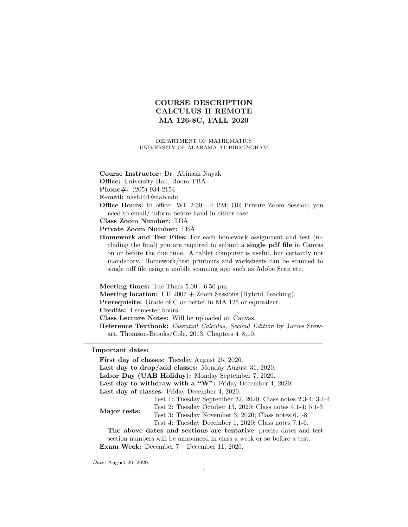# COURSE DESCRIPTION CALCULUS II REMOTE MA 126-8C, FALL 2020

#### DEPARTMENT OF MATHEMATICS UNIVERSITY OF ALABAMA AT BIRMINGHAM

- Course Instructor: Dr. Abinash Nayak
- Office: University Hall, Room TBA

Phone#: (205) 934-2154

E-mail: nash101@uab.edu

Office Hours: In office: WF 2:30 - 4 PM; OR Private Zoom Session; you need to email/ inform before hand in either case.

Class Zoom Number: TBA

Private Zoom Number: TBA

Homework and Test Files: For each homework assignment and test (including the final) you are required to submit a single pdf file in Canvas on or before the due time. A tablet computer is useful, but certainly not mandatory. Homework/test printouts and worksheets can be scanned to single pdf file using a mobile scanning app such as Adobe Scan etc.

Meeting times: Tue Thurs 5:00 - 6:50 pm. Meeting location: UH 2007 + Zoom Sessions (Hybrid Teaching). Prerequisite: Grade of C or better in MA 125 or equivalent. Credits: 4 semester hours. Class Lecture Notes: Will be uploaded on Canvas. Reference Textbook: Essential Calculus, Second Edition by James Stewart, Thomson-Brooks/Cole, 2013, Chapters 4–8,10.

Important dates:

|                                                                    | First day of classes: Tuesday August 25, 2020.                         |
|--------------------------------------------------------------------|------------------------------------------------------------------------|
|                                                                    | Last day to drop/add classes: Monday August 31, 2020.                  |
| Labor Day (UAB Holiday): Monday September 7, 2020.                 |                                                                        |
| Last day to withdraw with a "W": Friday December 4, 2020.          |                                                                        |
| Last day of classes: Friday December 4, 2020.                      |                                                                        |
| Major tests:                                                       | Test 1: Tuesday September 22, 2020; Class notes 2.3-4; 3.1-4           |
|                                                                    | Test 2: Tuesday October 13, 2020; Class notes 4.1-4; 5.1-3             |
|                                                                    | Test 3: Tuesday November 3, 2020; Class notes 6.1-8                    |
|                                                                    | Test 4: Tuesday December 1, 2020; Class notes 7.1-6.                   |
| The above dates and sections are tentative; precise dates and test |                                                                        |
|                                                                    | section numbers will be announced in class a week or so before a test. |
|                                                                    | <b>Exam Week:</b> December $7 -$ December 11, 2020.                    |

Date: August 20, 2020.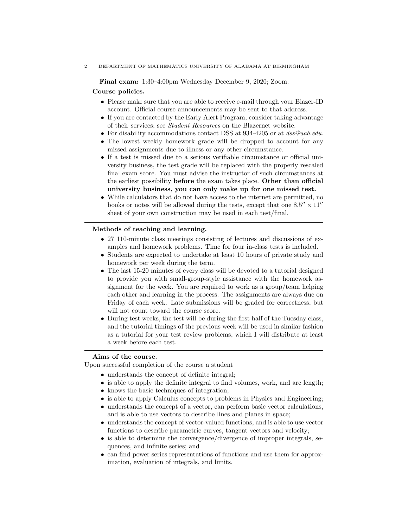2 DEPARTMENT OF MATHEMATICS UNIVERSITY OF ALABAMA AT BIRMINGHAM

Final exam: 1:30–4:00pm Wednesday December 9, 2020; Zoom.

#### Course policies.

- Please make sure that you are able to receive e-mail through your Blazer-ID account. Official course announcements may be sent to that address.
- If you are contacted by the Early Alert Program, consider taking advantage of their services; see Student Resources on the Blazernet website.
- For disability accommodations contact DSS at 934-4205 or at  $dss@uab.edu$ .
- The lowest weekly homework grade will be dropped to account for any missed assignments due to illness or any other circumstance.
- If a test is missed due to a serious verifiable circumstance or official university business, the test grade will be replaced with the properly rescaled final exam score. You must advise the instructor of such circumstances at the earliest possibility before the exam takes place. Other than official university business, you can only make up for one missed test.
- While calculators that do not have access to the internet are permitted, no books or notes will be allowed during the tests, except that one  $8.5'' \times 11''$ sheet of your own construction may be used in each test/final.

# Methods of teaching and learning.

- 27 110-minute class meetings consisting of lectures and discussions of examples and homework problems. Time for four in-class tests is included.
- Students are expected to undertake at least 10 hours of private study and homework per week during the term.
- The last 15-20 minutes of every class will be devoted to a tutorial designed to provide you with small-group-style assistance with the homework assignment for the week. You are required to work as a group/team helping each other and learning in the process. The assignments are always due on Friday of each week. Late submissions will be graded for correctness, but will not count toward the course score.
- During test weeks, the test will be during the first half of the Tuesday class, and the tutorial timings of the previous week will be used in similar fashion as a tutorial for your test review problems, which I will distribute at least a week before each test.

# Aims of the course.

Upon successful completion of the course a student

- understands the concept of definite integral;
- is able to apply the definite integral to find volumes, work, and arc length;
- knows the basic techniques of integration;
- is able to apply Calculus concepts to problems in Physics and Engineering;
- understands the concept of a vector, can perform basic vector calculations, and is able to use vectors to describe lines and planes in space;
- understands the concept of vector-valued functions, and is able to use vector functions to describe parametric curves, tangent vectors and velocity;
- is able to determine the convergence/divergence of improper integrals, sequences, and infinite series; and
- can find power series representations of functions and use them for approximation, evaluation of integrals, and limits.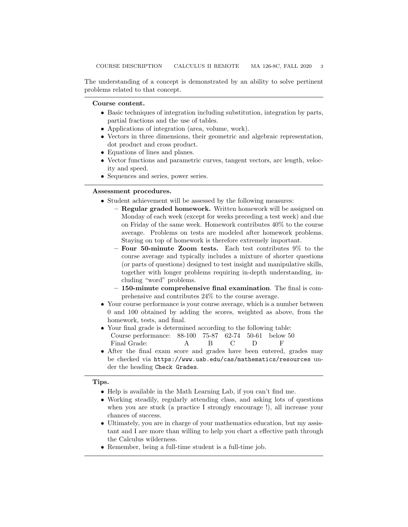The understanding of a concept is demonstrated by an ability to solve pertinent problems related to that concept.

#### Course content.

- Basic techniques of integration including substitution, integration by parts, partial fractions and the use of tables.
- Applications of integration (area, volume, work).
- Vectors in three dimensions, their geometric and algebraic representation, dot product and cross product.
- Equations of lines and planes.
- Vector functions and parametric curves, tangent vectors, arc length, velocity and speed.
- Sequences and series, power series.

# Assessment procedures.

- Student achievement will be assessed by the following measures:
	- Regular graded homework. Written homework will be assigned on Monday of each week (except for weeks preceding a test week) and due on Friday of the same week. Homework contributes 40% to the course average. Problems on tests are modeled after homework problems. Staying on top of homework is therefore extremely important.
	- Four 50-minute Zoom tests. Each test contributes 9% to the course average and typically includes a mixture of shorter questions (or parts of questions) designed to test insight and manipulative skills, together with longer problems requiring in-depth understanding, including "word" problems.
	- 150-minute comprehensive final examination. The final is comprehensive and contributes 24% to the course average.
- Your course performance is your course average, which is a number between 0 and 100 obtained by adding the scores, weighted as above, from the homework, tests, and final.
- Your final grade is determined according to the following table: Course performance: 88-100 75-87 62-74 50-61 below 50 Final Grade: <br> A B C D F
- After the final exam score and grades have been entered, grades may be checked via https://www.uab.edu/cas/mathematics/resources under the heading Check Grades.

Tips.

- Help is available in the Math Learning Lab, if you can't find me.
- Working steadily, regularly attending class, and asking lots of questions when you are stuck (a practice I strongly encourage !), all increase your chances of success.
- Ultimately, you are in charge of your mathematics education, but my assistant and I are more than willing to help you chart a effective path through the Calculus wilderness.
- Remember, being a full-time student is a full-time job.